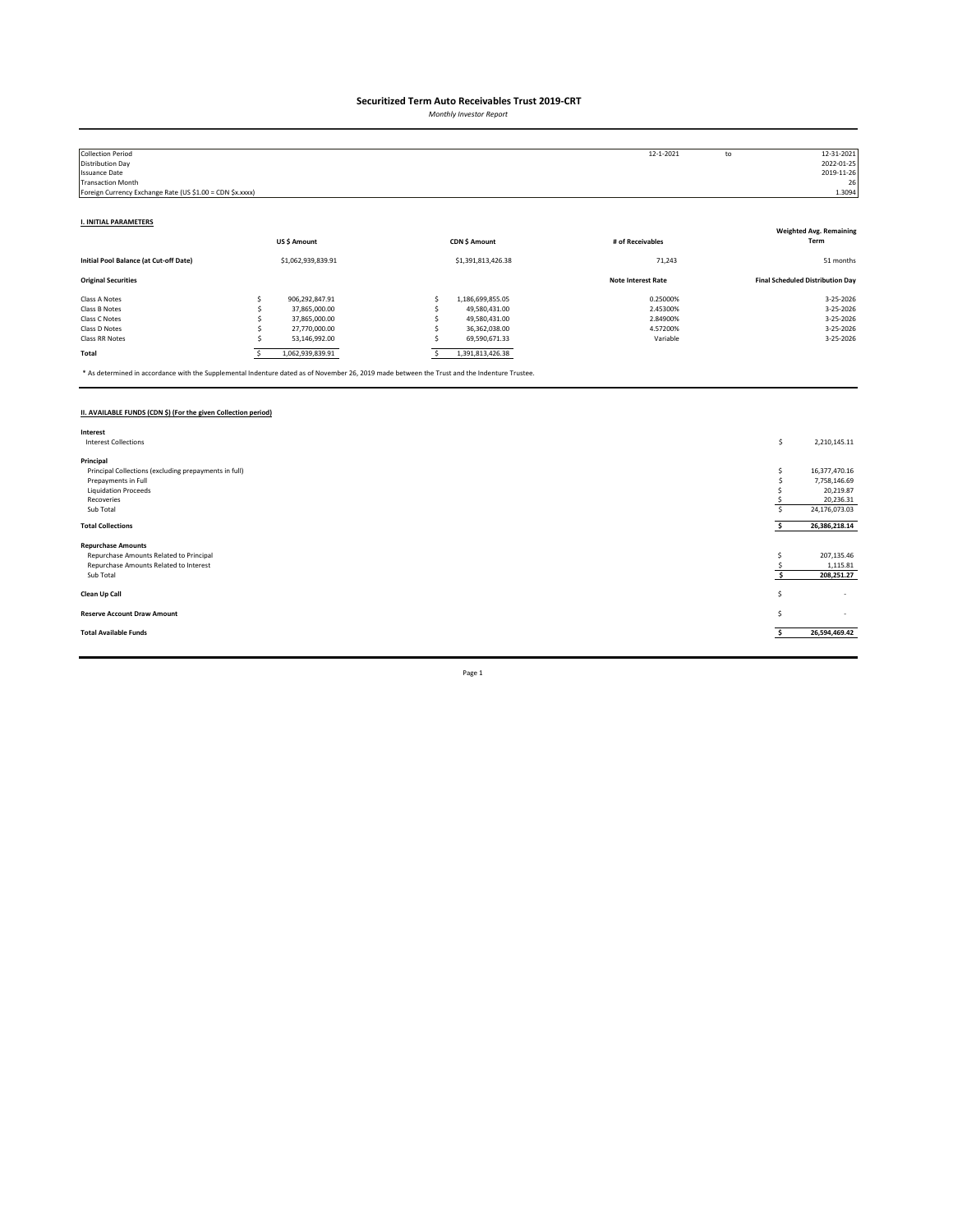*Monthly Investor Report*

| <b>Collection Period</b>                                  |             |                    |                    | 12-1-2021                 | to | 12-31-2021                              |
|-----------------------------------------------------------|-------------|--------------------|--------------------|---------------------------|----|-----------------------------------------|
| Distribution Day                                          |             |                    |                    |                           |    | 2022-01-25                              |
| <b>Issuance Date</b>                                      |             |                    |                    |                           |    | 2019-11-26                              |
| <b>Transaction Month</b>                                  |             |                    |                    |                           |    | 26                                      |
| Foreign Currency Exchange Rate (US \$1.00 = CDN \$x.xxxx) |             |                    |                    |                           |    | 1.3094                                  |
|                                                           |             |                    |                    |                           |    |                                         |
| <b>I. INITIAL PARAMETERS</b>                              |             |                    |                    |                           |    |                                         |
|                                                           |             |                    |                    |                           |    | <b>Weighted Avg. Remaining</b>          |
|                                                           | US\$ Amount |                    | CDN \$ Amount      | # of Receivables          |    | Term                                    |
| Initial Pool Balance (at Cut-off Date)                    |             | \$1,062,939,839.91 | \$1,391,813,426.38 | 71,243                    |    | 51 months                               |
| <b>Original Securities</b>                                |             |                    |                    | <b>Note Interest Rate</b> |    | <b>Final Scheduled Distribution Day</b> |
| Class A Notes                                             |             | 906,292,847.91     | 1,186,699,855.05   | 0.25000%                  |    | 3-25-2026                               |
| Class B Notes                                             |             | 37,865,000.00      | 49,580,431.00      | 2.45300%                  |    | 3-25-2026                               |
| Class C Notes                                             |             | 37,865,000.00      | 49,580,431.00      | 2.84900%                  |    | 3-25-2026                               |
| Class D Notes                                             |             | 27,770,000.00      | 36,362,038.00      | 4.57200%                  |    | 3-25-2026                               |
| Class RR Notes                                            |             | 53,146,992.00      | 69,590,671.33      | Variable                  |    | 3-25-2026                               |
| Total                                                     |             | 1,062,939,839.91   | 1,391,813,426.38   |                           |    |                                         |

\* As determined in accordance with the Supplemental Indenture dated as of November 26, 2019 made between the Trust and the Indenture Trustee.

### **II. AVAILABLE FUNDS (CDN \$) (For the given Collection period)**

| Interest                                              |    |                          |
|-------------------------------------------------------|----|--------------------------|
| <b>Interest Collections</b>                           | \$ | 2,210,145.11             |
|                                                       |    |                          |
| Principal                                             |    |                          |
| Principal Collections (excluding prepayments in full) |    | 16,377,470.16            |
| Prepayments in Full                                   |    | 7,758,146.69             |
| <b>Liquidation Proceeds</b>                           |    | 20,219.87                |
| Recoveries                                            |    | 20,236.31                |
| Sub Total                                             |    | 24,176,073.03            |
|                                                       |    |                          |
| <b>Total Collections</b>                              |    | 26,386,218.14            |
|                                                       |    |                          |
| <b>Repurchase Amounts</b>                             |    |                          |
| Repurchase Amounts Related to Principal               |    | 207,135.46               |
| Repurchase Amounts Related to Interest                |    | 1,115.81                 |
| Sub Total                                             |    | 208,251.27               |
|                                                       |    |                          |
| Clean Up Call                                         | Ś  | $\overline{\phantom{a}}$ |
|                                                       |    |                          |
| <b>Reserve Account Draw Amount</b>                    | S  | $\sim$                   |
|                                                       |    |                          |
| <b>Total Available Funds</b>                          |    | 26,594,469.42            |
|                                                       |    |                          |
|                                                       |    |                          |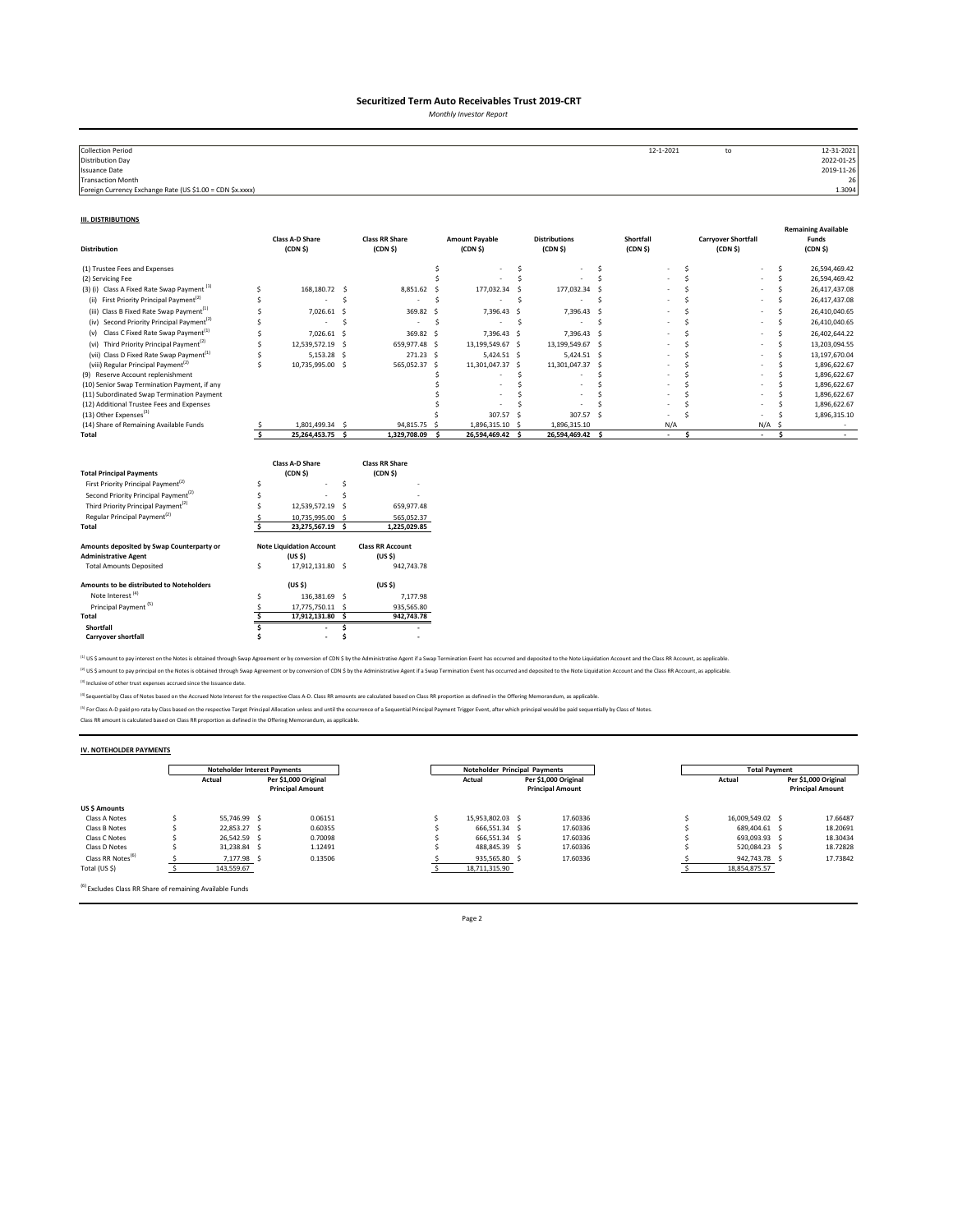*Monthly Investor Report*

| <b>Collection Period</b>                                  | 12-1-2021 | to | 12-31-2021 |
|-----------------------------------------------------------|-----------|----|------------|
| <b>Distribution Day</b>                                   |           |    | 2022-01-25 |
| Issuance Date                                             |           |    | 2019-11-26 |
| <b>Transaction Month</b>                                  |           |    | 26         |
| Foreign Currency Exchange Rate (US \$1.00 = CDN \$x.xxxx) |           |    | 1.3094     |
|                                                           |           |    |            |

#### **III. DISTRIBUTIONS**

| <b>Distribution</b>                                                      |                         | <b>Class A-D Share</b><br>(CDN <sub>5</sub> )         |      | <b>Class RR Share</b><br>(CDN <sub>5</sub> )  |    | <b>Amount Payable</b><br>(CDN <sub>5</sub> ) |     | <b>Distributions</b><br>(CDN S)  |     | Shortfall<br>(CDN <sub>5</sub> ) |              | <b>Carryover Shortfall</b><br>(CDN <sub>5</sub> ) |              | <b>Remaining Available</b><br>Funds<br>(CDN <sub>5</sub> ) |
|--------------------------------------------------------------------------|-------------------------|-------------------------------------------------------|------|-----------------------------------------------|----|----------------------------------------------|-----|----------------------------------|-----|----------------------------------|--------------|---------------------------------------------------|--------------|------------------------------------------------------------|
| (1) Trustee Fees and Expenses                                            |                         |                                                       |      |                                               | Ś  |                                              | \$. |                                  | \$. |                                  | \$           |                                                   | \$.          | 26,594,469.42                                              |
| (2) Servicing Fee                                                        |                         |                                                       |      |                                               |    |                                              | Ś   |                                  | Ś   |                                  | <sup>s</sup> |                                                   | Ś            | 26,594,469.42                                              |
| (3) (i) Class A Fixed Rate Swap Payment <sup>(1)</sup>                   | Ś                       | 168.180.72 \$                                         |      | 8,851.62                                      | -Ś | 177,032.34                                   | -Ś  | 177,032.34 \$                    |     |                                  | <sup>s</sup> |                                                   | Ś            | 26,417,437.08                                              |
| First Priority Principal Payment <sup>(2)</sup><br>(ii)                  |                         |                                                       | Ś    | ٠                                             | Ś  |                                              | .s  |                                  | Ś   |                                  |              |                                                   | Ś            | 26,417,437.08                                              |
| (iii) Class B Fixed Rate Swap Payment <sup>(1)</sup>                     |                         | 7.026.61                                              | -Ś   | 369.82                                        | .s | 7,396.43 \$                                  |     | 7,396.43 \$                      |     |                                  |              |                                                   | Š.           | 26,410,040.65                                              |
| (iv) Second Priority Principal Payment <sup>(2)</sup>                    |                         | $\overline{\phantom{a}}$                              | Ś    | $\sim$                                        | Ś  | $\sim$                                       | S.  | $\sim$                           | \$. |                                  |              |                                                   | Ś            | 26,410,040.65                                              |
| Class C Fixed Rate Swap Payment <sup>(1)</sup><br>(v)                    | S                       | 7,026.61                                              | - \$ | 369.82 \$                                     |    | 7,396.43 \$                                  |     | 7,396.43 \$                      |     |                                  |              |                                                   | Š.           | 26,402,644.22                                              |
| (vi) Third Priority Principal Payment <sup>(2)</sup>                     | Ś                       | 12,539,572.19                                         | -S   | 659,977.48 \$                                 |    | 13,199,549.67 \$                             |     | 13,199,549.67 \$                 |     |                                  |              |                                                   | Š.           | 13,203,094.55                                              |
| (vii) Class D Fixed Rate Swap Payment <sup>(1)</sup>                     | Ś                       | 5,153.28                                              | - S  | 271.23 \$                                     |    | 5,424.51 \$                                  |     | 5,424.51 \$                      |     |                                  |              |                                                   | Ś            | 13,197,670.04                                              |
| (viii) Regular Principal Payment <sup>(2)</sup>                          | Ś                       | 10,735,995.00 \$                                      |      | 565,052.37 \$                                 |    | 11,301,047.37 \$                             |     | 11,301,047.37 \$                 |     |                                  |              |                                                   | <sup>s</sup> | 1,896,622.67                                               |
| (9) Reserve Account replenishment                                        |                         |                                                       |      |                                               |    |                                              | Ś   |                                  |     |                                  | ¢            |                                                   | .s           | 1,896,622.67                                               |
| (10) Senior Swap Termination Payment, if any                             |                         |                                                       |      |                                               |    |                                              | Ś   |                                  |     |                                  |              |                                                   |              | 1,896,622.67                                               |
| (11) Subordinated Swap Termination Payment                               |                         |                                                       |      |                                               |    |                                              |     |                                  |     |                                  |              |                                                   |              | 1,896,622.67                                               |
| (12) Additional Trustee Fees and Expenses                                |                         |                                                       |      |                                               |    |                                              |     |                                  |     |                                  |              |                                                   |              | 1,896,622.67                                               |
| (13) Other Expenses <sup>(3)</sup>                                       |                         |                                                       |      |                                               |    | 307.57 \$                                    |     | 307.57 \$                        |     |                                  |              |                                                   |              | 1,896,315.10                                               |
| (14) Share of Remaining Available Funds<br>Total                         | $\overline{\mathbf{s}}$ | 1.801.499.34 \$<br>25,264,453.75                      | - S  | 94,815.75 \$<br>1,329,708.09                  | s. | 1,896,315.10 \$<br>26,594,469.42             | - S | 1,896,315.10<br>26,594,469.42 \$ |     | N/A<br>$\sim$                    | \$.          | N/A<br>$\sim$                                     | .S<br>\$.    | $\sim$                                                     |
| <b>Total Principal Payments</b>                                          |                         | Class A-D Share<br>(CDN <sub>5</sub> )                |      | <b>Class RR Share</b><br>(CDN <sub>5</sub> )  |    |                                              |     |                                  |     |                                  |              |                                                   |              |                                                            |
| First Priority Principal Payment <sup>(2)</sup>                          | Ś                       |                                                       | Š.   |                                               |    |                                              |     |                                  |     |                                  |              |                                                   |              |                                                            |
| Second Priority Principal Payment <sup>(2)</sup>                         |                         |                                                       | Ś    |                                               |    |                                              |     |                                  |     |                                  |              |                                                   |              |                                                            |
| Third Priority Principal Payment <sup>(2)</sup>                          |                         | 12,539,572.19                                         | -S   | 659,977.48                                    |    |                                              |     |                                  |     |                                  |              |                                                   |              |                                                            |
| Regular Principal Payment <sup>(2)</sup>                                 |                         | 10,735,995.00 \$                                      |      | 565,052.37                                    |    |                                              |     |                                  |     |                                  |              |                                                   |              |                                                            |
| Total                                                                    | Ś.                      | 23,275,567.19 \$                                      |      | 1,225,029.85                                  |    |                                              |     |                                  |     |                                  |              |                                                   |              |                                                            |
| Amounts deposited by Swap Counterparty or<br><b>Administrative Agent</b> |                         | <b>Note Liquidation Account</b><br>(US <sub>5</sub> ) |      | <b>Class RR Account</b><br>(US <sub>5</sub> ) |    |                                              |     |                                  |     |                                  |              |                                                   |              |                                                            |
| <b>Total Amounts Deposited</b>                                           | \$                      | 17,912,131.80 \$                                      |      | 942,743.78                                    |    |                                              |     |                                  |     |                                  |              |                                                   |              |                                                            |
| Amounts to be distributed to Noteholders                                 |                         | (US <sub>5</sub> )                                    |      | (US S)                                        |    |                                              |     |                                  |     |                                  |              |                                                   |              |                                                            |
| Note Interest <sup>(4)</sup>                                             | Ś                       | 136,381.69 \$                                         |      | 7,177.98                                      |    |                                              |     |                                  |     |                                  |              |                                                   |              |                                                            |
| Principal Payment <sup>(5)</sup>                                         | S                       | 17,775,750.11 \$                                      |      | 935,565.80                                    |    |                                              |     |                                  |     |                                  |              |                                                   |              |                                                            |
| Total                                                                    | Š.                      | 17,912,131.80 \$                                      |      | 942,743.78                                    |    |                                              |     |                                  |     |                                  |              |                                                   |              |                                                            |
| Shortfall                                                                |                         |                                                       | Ś    |                                               |    |                                              |     |                                  |     |                                  |              |                                                   |              |                                                            |
| <b>Carryover shortfall</b>                                               |                         | $\overline{\phantom{a}}$                              |      |                                               |    |                                              |     |                                  |     |                                  |              |                                                   |              |                                                            |

<sup>(1)</sup> US \$ amount to pay interest on the Notes is obtained through Swap Agreement or by conversion of CDN \$ by the Administrative Agent if a Swap Termination Event has occurred and deposited to the Note Liquidation Account <sup>(2)</sup> US \$ amount to pay principal on the Notes is obtained through Swap Agreement or by conversion of CDN \$ by the Administrative Agent if a Swap Termination Event has occurred and deposited to the Note Liquidation Accoun

(3) Inclusive of other trust expenses accrued since the Issuance date.

<sup>(4)</sup> Sequential by Class of Notes based on the Accrued Note Interest for the respective Class A-D. Class RR amounts are calculated based on Class RR proportion as defined in the Offering Memorandum, as applicable.

<sup>P)</sup> For Class A-D paid pro rata by Class based on the respective Target Principal Allocation unless and until the occurrence of a Sequential Principal Payment Trigger Event, after which principal would be paid sequentiall

#### **IV. NOTEHOLDER PAYMENTS**

|                               |                                                           | <b>Noteholder Interest Payments</b> |  |                                                           | Noteholder Principal Payments |  | <b>Total Payment</b> |                                                 |  |          |
|-------------------------------|-----------------------------------------------------------|-------------------------------------|--|-----------------------------------------------------------|-------------------------------|--|----------------------|-------------------------------------------------|--|----------|
|                               | Per \$1,000 Original<br>Actual<br><b>Principal Amount</b> |                                     |  | Per \$1,000 Original<br>Actual<br><b>Principal Amount</b> |                               |  | Actual               | Per \$1,000 Original<br><b>Principal Amount</b> |  |          |
| <b>US \$ Amounts</b>          |                                                           |                                     |  |                                                           |                               |  |                      |                                                 |  |          |
| Class A Notes                 |                                                           | 55.746.99 S                         |  | 0.06151                                                   | 15.953.802.03 \$              |  | 17.60336             | 16.009.549.02 \$                                |  | 17,66487 |
| Class B Notes                 |                                                           | 22,853.27 \$                        |  | 0.60355                                                   | 666.551.34 \$                 |  | 17.60336             | 689.404.61 \$                                   |  | 18.20691 |
| Class C Notes                 |                                                           | 26,542.59 \$                        |  | 0.70098                                                   | 666.551.34 \$                 |  | 17.60336             | 693,093.93 \$                                   |  | 18.30434 |
| Class D Notes                 |                                                           | 31,238.84 \$                        |  | 1.12491                                                   | 488.845.39 S                  |  | 17.60336             | 520.084.23 \$                                   |  | 18,72828 |
| Class RR Notes <sup>(b)</sup> |                                                           | 7,177.98 \$                         |  | 0.13506                                                   | 935,565.80 \$                 |  | 17.60336             | 942.743.78 \$                                   |  | 17.73842 |
| Total (US \$)                 |                                                           | 143,559.67                          |  |                                                           | 18,711,315.90                 |  |                      | 18,854,875.57                                   |  |          |

(6) Excludes Class RR Share of remaining Available Funds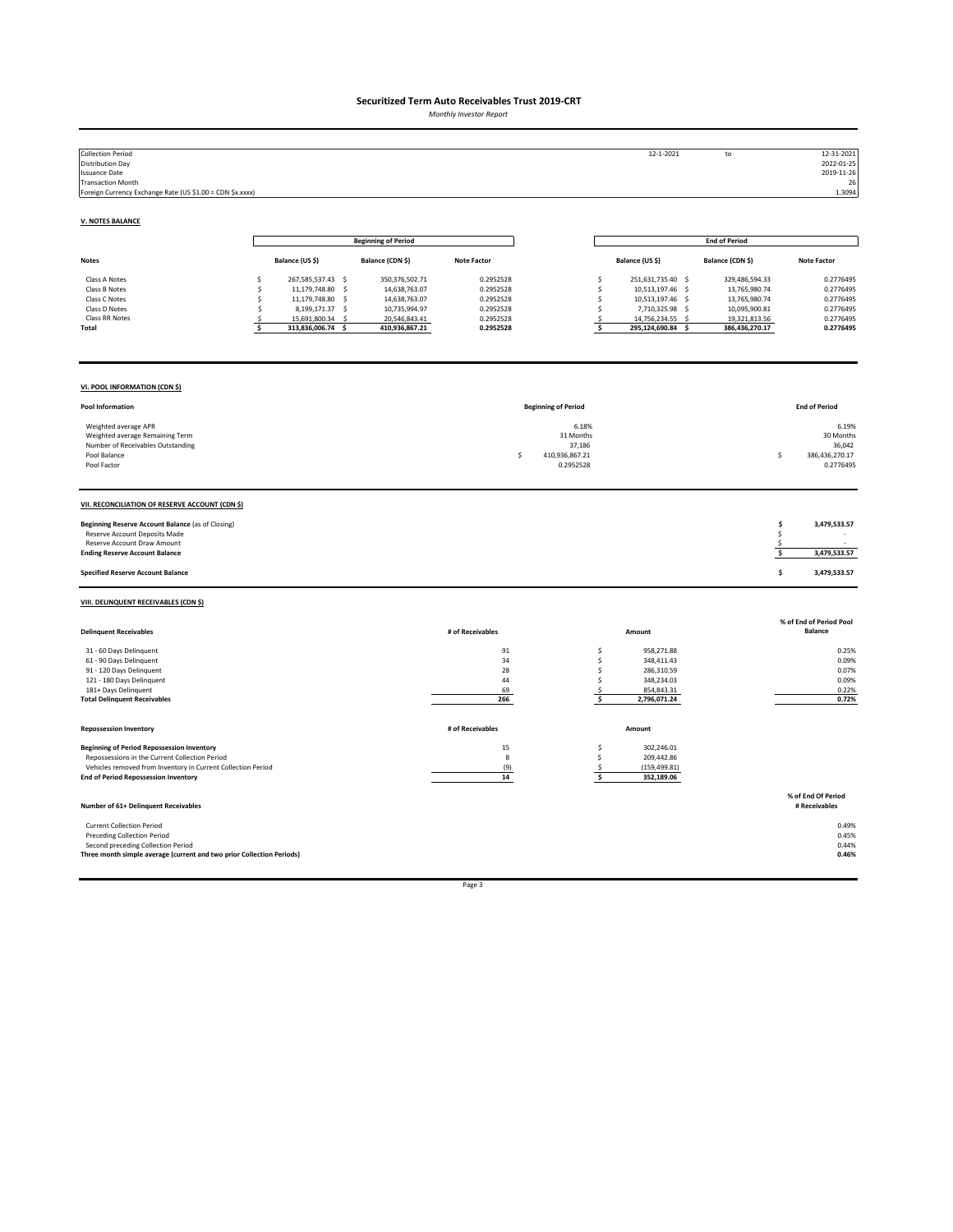*Monthly Investor Report*

| <b>Collection Period</b><br><b>Distribution Day</b><br><b>Issuance Date</b><br><b>Transaction Month</b><br>Foreign Currency Exchange Rate (US \$1.00 = CDN \$x.xxxx)                                               |                                                                                                                                                                   |                                                                                                         |                                                                            |                                                                  | 12-1-2021                                                                                                                                                                 | $\mathsf{to}$                                                                                        | 12-31-2021<br>2022-01-25<br>2019-11-26<br>26<br>1.3094                     |
|--------------------------------------------------------------------------------------------------------------------------------------------------------------------------------------------------------------------|-------------------------------------------------------------------------------------------------------------------------------------------------------------------|---------------------------------------------------------------------------------------------------------|----------------------------------------------------------------------------|------------------------------------------------------------------|---------------------------------------------------------------------------------------------------------------------------------------------------------------------------|------------------------------------------------------------------------------------------------------|----------------------------------------------------------------------------|
| <b>V. NOTES BALANCE</b>                                                                                                                                                                                            |                                                                                                                                                                   |                                                                                                         |                                                                            |                                                                  |                                                                                                                                                                           |                                                                                                      |                                                                            |
|                                                                                                                                                                                                                    |                                                                                                                                                                   | <b>Beginning of Period</b>                                                                              |                                                                            |                                                                  |                                                                                                                                                                           | <b>End of Period</b>                                                                                 |                                                                            |
| <b>Notes</b>                                                                                                                                                                                                       | Balance (US \$)                                                                                                                                                   | Balance (CDN \$)                                                                                        | <b>Note Factor</b>                                                         |                                                                  | Balance (US \$)                                                                                                                                                           | Balance (CDN \$)                                                                                     | <b>Note Factor</b>                                                         |
| Class A Notes<br>Class B Notes<br>Class C Notes<br>Class D Notes<br>Class RR Notes<br>Total                                                                                                                        | \$<br>267,585,537.43 \$<br>11,179,748.80<br>Ś<br>$\sim$<br>11,179,748.80 \$<br>Ś<br>\$<br>8,199,171.37 \$<br>15,691,800.34<br>Ś<br>- S<br>\$<br>313,836,006.74 \$ | 350, 376, 502. 71<br>14,638,763.07<br>14,638,763.07<br>10,735,994.97<br>20,546,843.41<br>410,936,867.21 | 0.2952528<br>0.2952528<br>0.2952528<br>0.2952528<br>0.2952528<br>0.2952528 |                                                                  | \$<br>251,631,735.40 \$<br>\$<br>10,513,197.46 \$<br>\$<br>10,513,197.46 \$<br>\$<br>7,710,325.98<br>$\mathsf{S}$<br>\$<br>14,756,234.55<br>-S<br>\$<br>295,124,690.84 \$ | 329,486,594.33<br>13,765,980.74<br>13,765,980.74<br>10,095,900.81<br>19,321,813.56<br>386,436,270.17 | 0.2776495<br>0.2776495<br>0.2776495<br>0.2776495<br>0.2776495<br>0.2776495 |
| VI. POOL INFORMATION (CDN \$)                                                                                                                                                                                      |                                                                                                                                                                   |                                                                                                         |                                                                            |                                                                  |                                                                                                                                                                           |                                                                                                      |                                                                            |
| Pool Information                                                                                                                                                                                                   |                                                                                                                                                                   |                                                                                                         |                                                                            | <b>Beginning of Period</b>                                       |                                                                                                                                                                           |                                                                                                      | <b>End of Period</b>                                                       |
| Weighted average APR<br>Weighted average Remaining Term<br>Number of Receivables Outstanding<br>Pool Balance<br>Pool Factor                                                                                        |                                                                                                                                                                   |                                                                                                         |                                                                            | 6.18%<br>31 Months<br>37,186<br>Ś<br>410,936,867.21<br>0.2952528 |                                                                                                                                                                           |                                                                                                      | 6.19%<br>30 Months<br>36,042<br>\$<br>386,436,270.17<br>0.2776495          |
| VII. RECONCILIATION OF RESERVE ACCOUNT (CDN \$)                                                                                                                                                                    |                                                                                                                                                                   |                                                                                                         |                                                                            |                                                                  |                                                                                                                                                                           |                                                                                                      |                                                                            |
| Beginning Reserve Account Balance (as of Closing)<br>Reserve Account Deposits Made<br>Reserve Account Draw Amount<br><b>Ending Reserve Account Balance</b>                                                         |                                                                                                                                                                   |                                                                                                         |                                                                            |                                                                  |                                                                                                                                                                           |                                                                                                      | 3,479,533.57<br>\$<br>Ś<br>-\$<br>\$<br>3,479,533.57                       |
| <b>Specified Reserve Account Balance</b>                                                                                                                                                                           |                                                                                                                                                                   |                                                                                                         |                                                                            |                                                                  |                                                                                                                                                                           |                                                                                                      | \$<br>3,479,533.57                                                         |
| VIII. DELINQUENT RECEIVABLES (CDN \$)                                                                                                                                                                              |                                                                                                                                                                   |                                                                                                         |                                                                            |                                                                  |                                                                                                                                                                           |                                                                                                      |                                                                            |
| <b>Delinquent Receivables</b>                                                                                                                                                                                      |                                                                                                                                                                   |                                                                                                         | # of Receivables                                                           |                                                                  | Amount                                                                                                                                                                    |                                                                                                      | % of End of Period Pool<br><b>Balance</b>                                  |
| 31 - 60 Days Delinquent<br>61 - 90 Days Delinquent<br>91 - 120 Days Delinquent<br>121 - 180 Days Delinquent<br>181+ Days Delinquent<br><b>Total Delinquent Receivables</b>                                         |                                                                                                                                                                   |                                                                                                         | 91<br>34<br>28<br>44<br>69<br>266                                          |                                                                  | 958,271.88<br>\$<br>\$<br>348,411.43<br>\$<br>286,310.59<br>\$<br>348,234.03<br>854,843.31<br>\$<br>\$<br>2,796,071.24                                                    |                                                                                                      | 0.25%<br>0.09%<br>0.07%<br>0.09%<br>0.22%<br>0.72%                         |
| <b>Repossession Inventory</b>                                                                                                                                                                                      |                                                                                                                                                                   |                                                                                                         | # of Receivables                                                           |                                                                  | Amount                                                                                                                                                                    |                                                                                                      |                                                                            |
| <b>Beginning of Period Repossession Inventory</b><br>Repossessions in the Current Collection Period<br>Vehicles removed from Inventory in Current Collection Period<br><b>End of Period Repossession Inventory</b> |                                                                                                                                                                   |                                                                                                         | 15<br>$\bf{8}$<br>(9)<br>14                                                |                                                                  | \$<br>302,246.01<br>\$<br>209,442.86<br>(159, 499.81)<br>$\mathsf{S}$<br>\$<br>352,189.06                                                                                 |                                                                                                      |                                                                            |
| Number of 61+ Delinquent Receivables                                                                                                                                                                               |                                                                                                                                                                   |                                                                                                         |                                                                            |                                                                  |                                                                                                                                                                           |                                                                                                      | % of End Of Period<br># Receivables                                        |
| <b>Current Collection Period</b><br><b>Preceding Collection Period</b><br>Second preceding Collection Period<br>Three month simple average (current and two prior Collection Periods)                              |                                                                                                                                                                   |                                                                                                         |                                                                            |                                                                  |                                                                                                                                                                           |                                                                                                      | 0.49%<br>0.45%<br>0.44%<br>0.46%                                           |